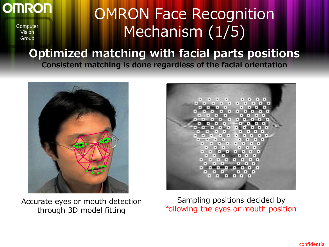#### **OMRON**

**Computer** Vision **Group** 

### OMRON Face Recognition Mechanism (1/5)

#### Optimized matching with facial parts positions Consistent matching is done regardless of the facial orientation



Accurate eyes or mouth detection through 3D model fitting



Sampling positions decided by following the eyes or mouth position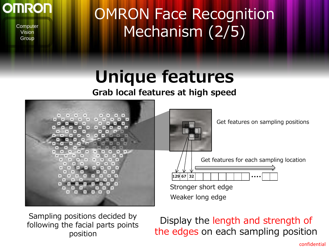

### OMRON Face Recognition Mechanism (2/5)

## Unique features

#### Grab local features at high speed



Sampling positions decided by following the facial parts points position

#### Display the length and strength of the edges on each sampling position

confidential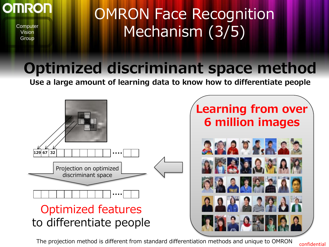

## OMRON Face Recognition Mechanism (3/5)

#### Optimized discriminant space method

Use a large amount of learning data to know how to differentiate people



The projection method is different from standard differentiation methods and unique to OMRON confidential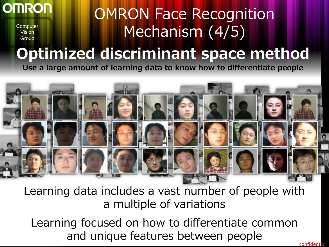

## OMRON Face Recognition Mechanism (4/5)

# Optimized discriminant space method

Use a large amount of learning data to know how to differentiate people



Learning data includes a vast number of people with a multiple of variations

Learning focused on how to differentiate common and unique features between people confidenti